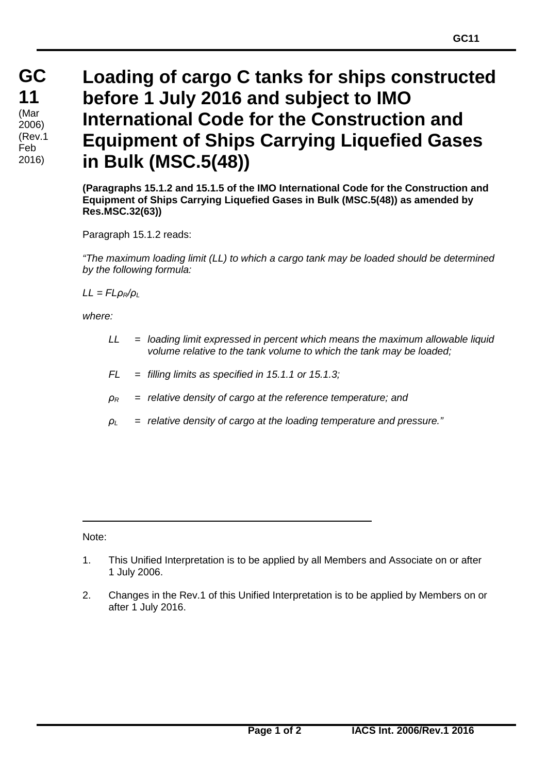## **Loading of cargo C tanks for ships constructed before 1 July 2016 and subject to IMO International Code for the Construction and Equipment of Ships Carrying Liquefied Gases in Bulk (MSC.5(48))**

**(Paragraphs 15.1.2 and 15.1.5 of the IMO International Code for the Construction and Equipment of Ships Carrying Liquefied Gases in Bulk (MSC.5(48)) as amended by Res.MSC.32(63))**

Paragraph 15.1.2 reads:

*"The maximum loading limit (LL) to which a cargo tank may be loaded should be determined by the following formula:*

*LL = FLρR/ρ<sup>L</sup>*

*where:*

- *LL = loading limit expressed in percent which means the maximum allowable liquid volume relative to the tank volume to which the tank may be loaded;*
- *FL = filling limits as specified in 15.1.1 or 15.1.3;*
- *ρ<sup>R</sup> = relative density of cargo at the reference temperature; and*
- *ρ<sup>L</sup> = relative density of cargo at the loading temperature and pressure."*

Note:

- 1. This Unified Interpretation is to be applied by all Members and Associate on or after 1 July 2006.
- 2. Changes in the Rev.1 of this Unified Interpretation is to be applied by Members on or after 1 July 2016.